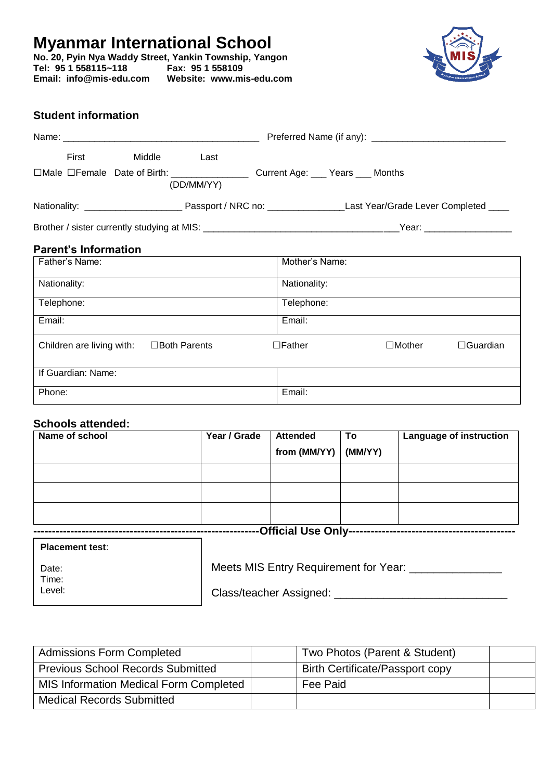# **Myanmar International School**

**No. 20, Pyin Nya Waddy Street, Yankin Township, Yangon Tel: 95 1 558115~118 Fax: 95 1 558109 Email: info@mis-edu.com Website: www.mis-edu.com**



# **Student information**

| First                                                                                                                                                                                                                                 | Middle | Last       |                                                                                                                                |  |  |
|---------------------------------------------------------------------------------------------------------------------------------------------------------------------------------------------------------------------------------------|--------|------------|--------------------------------------------------------------------------------------------------------------------------------|--|--|
|                                                                                                                                                                                                                                       |        | (DD/MM/YY) |                                                                                                                                |  |  |
|                                                                                                                                                                                                                                       |        |            |                                                                                                                                |  |  |
|                                                                                                                                                                                                                                       |        |            |                                                                                                                                |  |  |
| <b>Parent's Information</b>                                                                                                                                                                                                           |        |            |                                                                                                                                |  |  |
| I Father's Name:                                                                                                                                                                                                                      |        |            | Mother's Name:                                                                                                                 |  |  |
| $\mathbf{A}$ and $\mathbf{A}$ are associated as a set of the set of the set of the set of the set of the set of the set of the set of the set of the set of the set of the set of the set of the set of the set of the set of the set |        |            | $\mathbf{A}$ and $\mathbf{A}$ are associated as a set of $\mathbf{A}$ and $\mathbf{A}$ are associated as a set of $\mathbf{A}$ |  |  |

| Nationality:                                        | Nationality:                                      |
|-----------------------------------------------------|---------------------------------------------------|
| Telephone:                                          | Telephone:                                        |
| Email:                                              | Email:                                            |
| Children are living with:<br>$\square$ Both Parents | $\Box$ Father<br>$\Box$ Mother<br>$\Box$ Guardian |
| If Guardian: Name:                                  |                                                   |
| Phone:                                              | Email:                                            |

# **Schools attended:**

| Name of school | Year / Grade | <b>Attended</b><br>from (MM/YY) $ (MM/YY) $ | To | Language of instruction |
|----------------|--------------|---------------------------------------------|----|-------------------------|
|                |              |                                             |    |                         |
|                |              |                                             |    |                         |
|                |              |                                             |    |                         |

| <b>Placement test:</b> |                                       |  |  |  |
|------------------------|---------------------------------------|--|--|--|
| Date:<br>Time:         | Meets MIS Entry Requirement for Year: |  |  |  |

Level:

Class/teacher Assigned: \_\_\_\_\_\_\_\_\_\_

| <b>Admissions Form Completed</b>         | Two Photos (Parent & Student)          |  |
|------------------------------------------|----------------------------------------|--|
| <b>Previous School Records Submitted</b> | <b>Birth Certificate/Passport copy</b> |  |
| MIS Information Medical Form Completed   | Fee Paid                               |  |
| <b>Medical Records Submitted</b>         |                                        |  |